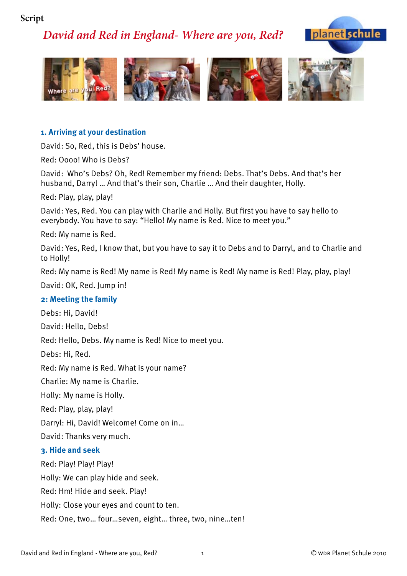## **Script**

# *David and Red in England- Where are you, Red?*





### **1. Arriving at your destination**

David: So, Red, this is Debs' house.

Red: Oooo! Who is Debs?

David: Who's Debs? Oh, Red! Remember my friend: Debs. That's Debs. And that's her husband, Darryl … And that's their son, Charlie … And their daughter, Holly.

Red: Play, play, play!

David: Yes, Red. You can play with Charlie and Holly. But first you have to say hello to everybody. You have to say: "Hello! My name is Red. Nice to meet you."

Red: My name is Red.

David: Yes, Red, I know that, but you have to say it to Debs and to Darryl, and to Charlie and to Holly!

Red: My name is Red! My name is Red! My name is Red! My name is Red! Play, play, play!

David: OK, Red. Jump in!

#### **2: Meeting the family**

Debs: Hi, David!

David: Hello, Debs!

Red: Hello, Debs. My name is Red! Nice to meet you.

Debs: Hi, Red.

Red: My name is Red. What is your name?

Charlie: My name is Charlie.

Holly: My name is Holly.

Red: Play, play, play!

Darryl: Hi, David! Welcome! Come on in…

David: Thanks very much.

#### **3. Hide and seek**

Red: Play! Play! Play!

Holly: We can play hide and seek.

Red: Hm! Hide and seek. Play!

Holly: Close your eyes and count to ten.

Red: One, two… four…seven, eight… three, two, nine…ten!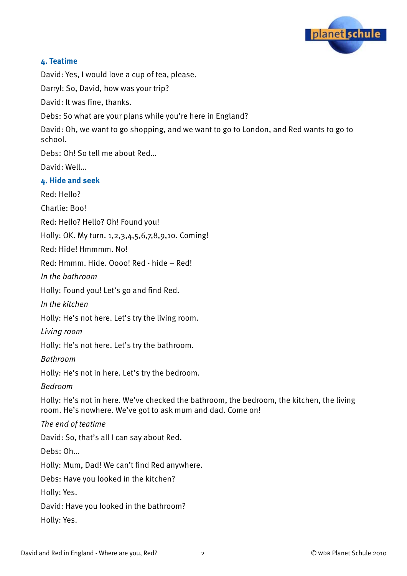

### **4. Teatime**

David: Yes, I would love a cup of tea, please.

Darryl: So, David, how was your trip?

David: It was fine, thanks.

Debs: So what are your plans while you're here in England?

David: Oh, we want to go shopping, and we want to go to London, and Red wants to go to school.

Debs: Oh! So tell me about Red…

David: Well…

#### **4. Hide and seek**

Red: Hello?

Charlie: Boo!

Red: Hello? Hello? Oh! Found you!

Holly: OK. My turn. 1,2,3,4,5,6,7,8,9,10. Coming!

Red: Hide! Hmmmm. No!

Red: Hmmm. Hide. Oooo! Red - hide – Red!

In the bathroom

Holly: Found you! Let's go and find Red.

In the kitchen

Holly: He's not here. Let's try the living room.

Living room

Holly: He's not here. Let's try the bathroom.

Bathroom

Holly: He's not in here. Let's try the bedroom.

Bedroom

Holly: He's not in here. We've checked the bathroom, the bedroom, the kitchen, the living room. He's nowhere. We've got to ask mum and dad. Come on!

The end of teatime

David: So, that's all I can say about Red.

Debs: Oh…

Holly: Mum, Dad! We can't find Red anywhere.

Debs: Have you looked in the kitchen?

Holly: Yes.

David: Have you looked in the bathroom?

Holly: Yes.